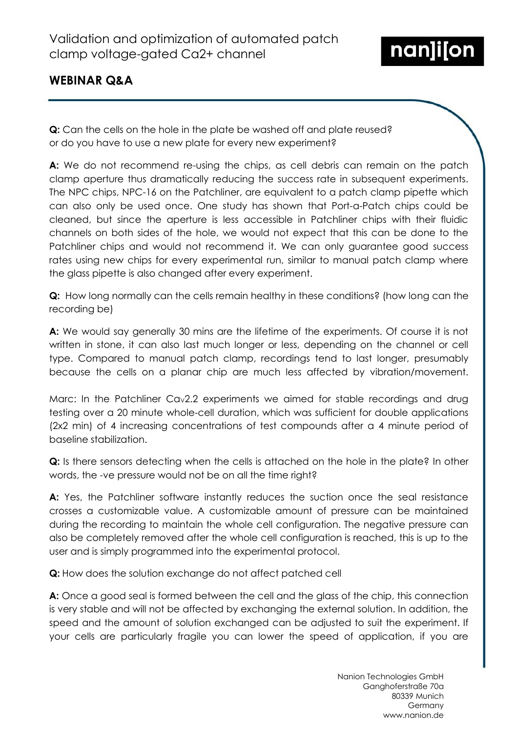

# **WEBINAR Q&A**

**Q:** Can the cells on the hole in the plate be washed off and plate reused? or do you have to use a new plate for every new experiment?

**A:** We do not recommend re-using the chips, as cell debris can remain on the patch clamp aperture thus dramatically reducing the success rate in subsequent experiments. The NPC chips, NPC-16 on the Patchliner, are equivalent to a patch clamp pipette which can also only be used once. One study has shown that Port-a-Patch chips could be cleaned, but since the aperture is less accessible in Patchliner chips with their fluidic channels on both sides of the hole, we would not expect that this can be done to the Patchliner chips and would not recommend it. We can only guarantee good success rates using new chips for every experimental run, similar to manual patch clamp where the glass pipette is also changed after every experiment.

**Q:** How long normally can the cells remain healthy in these conditions? (how long can the recording be)

**A:** We would say generally 30 mins are the lifetime of the experiments. Of course it is not written in stone, it can also last much longer or less, depending on the channel or cell type. Compared to manual patch clamp, recordings tend to last longer, presumably because the cells on a planar chip are much less affected by vibration/movement.

Marc: In the Patchliner Cav2.2 experiments we aimed for stable recordings and drug testing over a 20 minute whole-cell duration, which was sufficient for double applications (2x2 min) of 4 increasing concentrations of test compounds after a 4 minute period of baseline stabilization.

**Q:** Is there sensors detecting when the cells is attached on the hole in the plate? In other words, the -ve pressure would not be on all the time right?

A: Yes, the Patchliner software instantly reduces the suction once the seal resistance crosses a customizable value. A customizable amount of pressure can be maintained during the recording to maintain the whole cell configuration. The negative pressure can also be completely removed after the whole cell configuration is reached, this is up to the user and is simply programmed into the experimental protocol.

**Q:** How does the solution exchange do not affect patched cell

**A:** Once a good seal is formed between the cell and the glass of the chip, this connection is very stable and will not be affected by exchanging the external solution. In addition, the speed and the amount of solution exchanged can be adjusted to suit the experiment. If your cells are particularly fragile you can lower the speed of application, if you are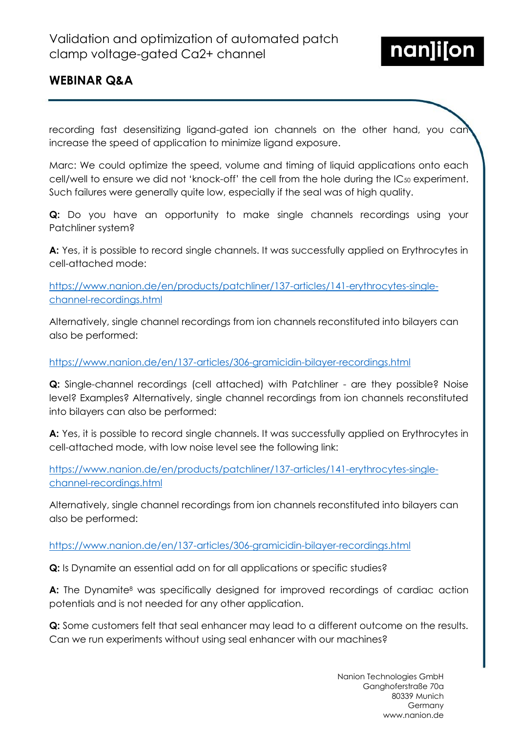

# **WEBINAR Q&A**

recording fast desensitizing ligand-gated ion channels on the other hand, you can increase the speed of application to minimize ligand exposure.

Marc: We could optimize the speed, volume and timing of liquid applications onto each cell/well to ensure we did not 'knock-off' the cell from the hole during the  $IC_{50}$  experiment. Such failures were generally quite low, especially if the seal was of high quality.

**Q:** Do you have an opportunity to make single channels recordings using your Patchliner system?

**A:** Yes, it is possible to record single channels. It was successfully applied on Erythrocytes in cell-attached mode:

[https://www.nanion.de/en/products/patchliner/137-articles/141-erythrocytes-single](https://www.nanion.de/en/products/patchliner/137-articles/141-erythrocytes-single-channel-recordings.html)[channel-recordings.html](https://www.nanion.de/en/products/patchliner/137-articles/141-erythrocytes-single-channel-recordings.html)

Alternatively, single channel recordings from ion channels reconstituted into bilayers can also be performed:

### <https://www.nanion.de/en/137-articles/306-gramicidin-bilayer-recordings.html>

**Q:** Single-channel recordings (cell attached) with Patchliner - are they possible? Noise level? Examples? Alternatively, single channel recordings from ion channels reconstituted into bilayers can also be performed:

**A:** Yes, it is possible to record single channels. It was successfully applied on Erythrocytes in cell-attached mode, with low noise level see the following link:

[https://www.nanion.de/en/products/patchliner/137-articles/141-erythrocytes-single](https://www.nanion.de/en/products/patchliner/137-articles/141-erythrocytes-single-channel-recordings.html)[channel-recordings.html](https://www.nanion.de/en/products/patchliner/137-articles/141-erythrocytes-single-channel-recordings.html)

Alternatively, single channel recordings from ion channels reconstituted into bilayers can also be performed:

#### <https://www.nanion.de/en/137-articles/306-gramicidin-bilayer-recordings.html>

**Q:** Is Dynamite an essential add on for all applications or specific studies?

A: The Dynamite<sup>8</sup> was specifically designed for improved recordings of cardiac action potentials and is not needed for any other application.

**Q:** Some customers felt that seal enhancer may lead to a different outcome on the results. Can we run experiments without using seal enhancer with our machines?

> Nanion Technologies GmbH Ganghoferstraße 70a 80339 Munich Germany www.nanion.de